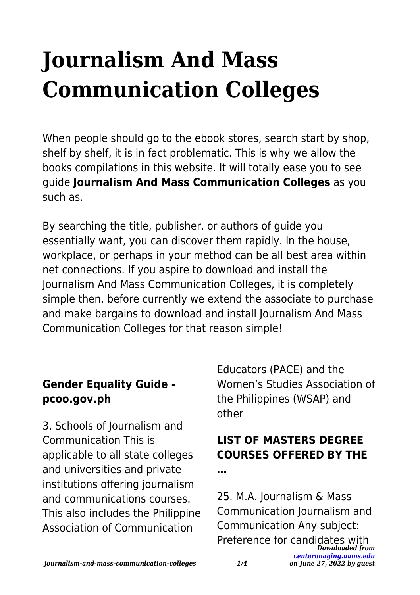# **Journalism And Mass Communication Colleges**

When people should go to the ebook stores, search start by shop, shelf by shelf, it is in fact problematic. This is why we allow the books compilations in this website. It will totally ease you to see guide **Journalism And Mass Communication Colleges** as you such as.

By searching the title, publisher, or authors of guide you essentially want, you can discover them rapidly. In the house, workplace, or perhaps in your method can be all best area within net connections. If you aspire to download and install the Journalism And Mass Communication Colleges, it is completely simple then, before currently we extend the associate to purchase and make bargains to download and install Journalism And Mass Communication Colleges for that reason simple!

### **Gender Equality Guide pcoo.gov.ph**

3. Schools of Journalism and Communication This is applicable to all state colleges and universities and private institutions offering journalism and communications courses. This also includes the Philippine Association of Communication

Educators (PACE) and the Women's Studies Association of the Philippines (WSAP) and other

# **LIST OF MASTERS DEGREE COURSES OFFERED BY THE**

**…**

*Downloaded from* 25. M.A. Journalism & Mass Communication Journalism and Communication Any subject: Preference for candidates with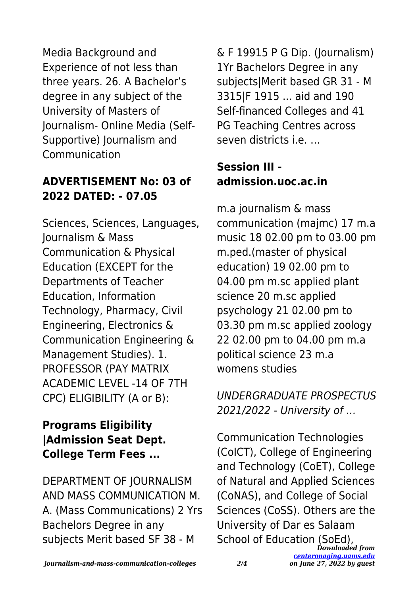Media Background and Experience of not less than three years. 26. A Bachelor's degree in any subject of the University of Masters of Journalism- Online Media (Self-Supportive) Journalism and Communication

#### **ADVERTISEMENT No: 03 of 2022 DATED: - 07.05**

Sciences, Sciences, Languages, Journalism & Mass Communication & Physical Education (EXCEPT for the Departments of Teacher Education, Information Technology, Pharmacy, Civil Engineering, Electronics & Communication Engineering & Management Studies). 1. PROFESSOR (PAY MATRIX ACADEMIC LEVEL -14 OF 7TH CPC) ELIGIBILITY (A or B):

### **Programs Eligibility |Admission Seat Dept. College Term Fees ...**

DEPARTMENT OF JOURNALISM AND MASS COMMUNICATION M. A. (Mass Communications) 2 Yrs Bachelors Degree in any subjects Merit based SF 38 - M

& F 19915 P G Dip. (Journalism) 1Yr Bachelors Degree in any subjects|Merit based GR 31 - M 3315|F 1915 ... aid and 190 Self-financed Colleges and 41 PG Teaching Centres across seven districts i.e. …

### **Session III admission.uoc.ac.in**

m.a journalism & mass communication (majmc) 17 m.a music 18 02.00 pm to 03.00 pm m.ped.(master of physical education) 19 02.00 pm to 04.00 pm m.sc applied plant science 20 m.sc applied psychology 21 02.00 pm to 03.30 pm m.sc applied zoology 22 02.00 pm to 04.00 pm m.a political science 23 m.a womens studies

UNDERGRADUATE PROSPECTUS 2021/2022 - University of …

School of Education (SoEd),<br><sup>Downloaded</sup> from Communication Technologies (CoICT), College of Engineering and Technology (CoET), College of Natural and Applied Sciences (CoNAS), and College of Social Sciences (CoSS). Others are the University of Dar es Salaam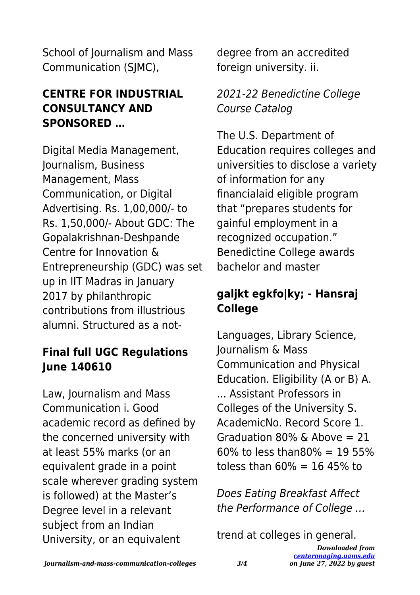School of Journalism and Mass Communication (SJMC),

#### **CENTRE FOR INDUSTRIAL CONSULTANCY AND SPONSORED …**

Digital Media Management, Journalism, Business Management, Mass Communication, or Digital Advertising. Rs. 1,00,000/- to Rs. 1,50,000/- About GDC: The Gopalakrishnan-Deshpande Centre for Innovation & Entrepreneurship (GDC) was set up in IIT Madras in January 2017 by philanthropic contributions from illustrious alumni. Structured as a not-

#### **Final full UGC Regulations June 140610**

Law, Journalism and Mass Communication i. Good academic record as defined by the concerned university with at least 55% marks (or an equivalent grade in a point scale wherever grading system is followed) at the Master's Degree level in a relevant subject from an Indian University, or an equivalent

degree from an accredited foreign university. ii.

#### 2021-22 Benedictine College Course Catalog

The U.S. Department of Education requires colleges and universities to disclose a variety of information for any financialaid eligible program that "prepares students for gainful employment in a recognized occupation." Benedictine College awards bachelor and master

## **galjkt egkfo|ky; - Hansraj College**

Languages, Library Science, Journalism & Mass Communication and Physical Education. Eligibility (A or B) A. ... Assistant Professors in Colleges of the University S. AcademicNo. Record Score 1. Graduation 80% & Above  $= 21$  $60\%$  to less than  $80\% = 1955\%$ toless than  $60\% = 16,45\%$  to

Does Eating Breakfast Affect the Performance of College …

trend at colleges in general.